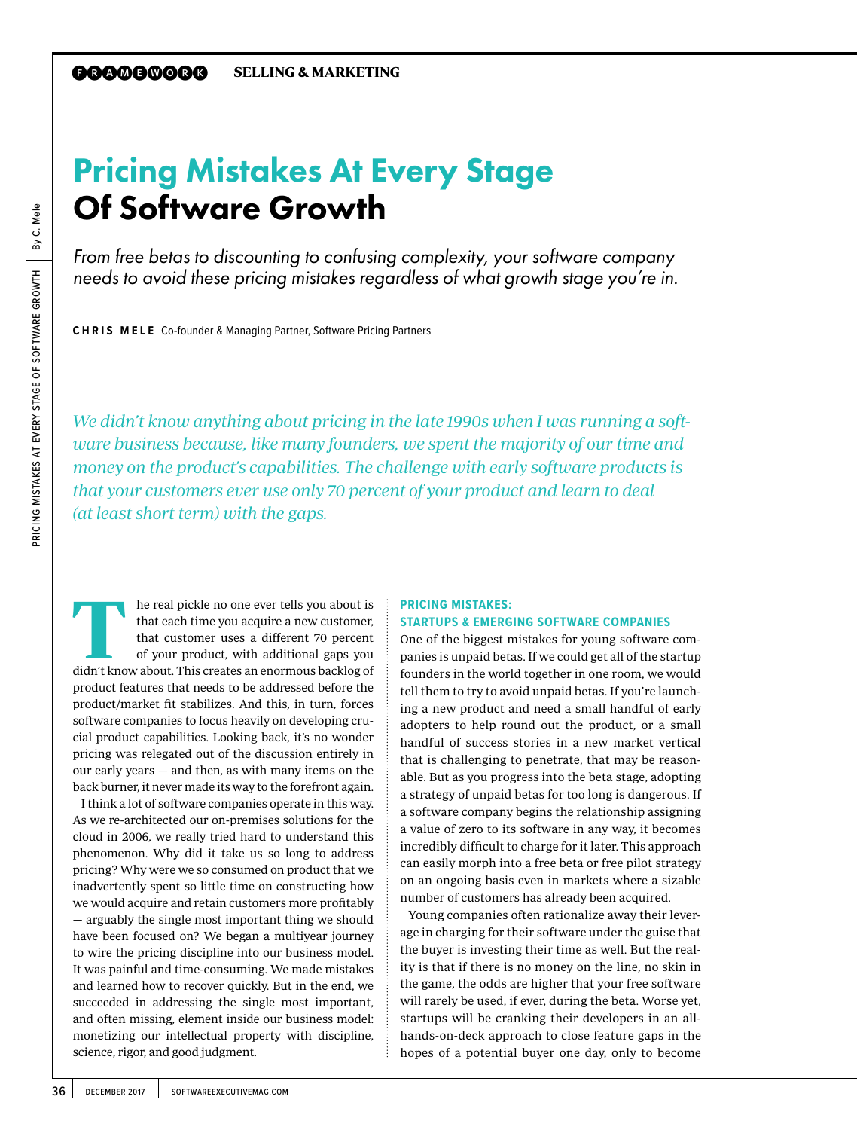# Pricing Mistakes At Every Stage Of Software Growth

*From free betas to discounting to confusing complexity, your software company needs to avoid these pricing mistakes regardless of what growth stage you're in.*

**CHRIS MELE** Co-founder & Managing Partner, Software Pricing Partners

We didn't know anything about pricing in the late 1990s when I was running a software business because, like many founders, we spent the majority of our time and money on the product's capabilities. The challenge with early software products is that your customers ever use only 70 percent of your product and learn to deal (at least short term) with the gaps.

he real pickle no one ever tells you about is that each time you acquire a new customer, that customer uses a different 70 percent of your product, with additional gaps you didn't know about. This creates an enormous backlog of product features that needs to be addressed before the product/market fit stabilizes. And this, in turn, forces software companies to focus heavily on developing crucial product capabilities. Looking back, it's no wonder pricing was relegated out of the discussion entirely in our early years — and then, as with many items on the back burner, it never made its way to the forefront again. T

I think a lot of software companies operate in this way. As we re-architected our on-premises solutions for the cloud in 2006, we really tried hard to understand this phenomenon. Why did it take us so long to address pricing? Why were we so consumed on product that we inadvertently spent so little time on constructing how we would acquire and retain customers more profitably — arguably the single most important thing we should have been focused on? We began a multiyear journey to wire the pricing discipline into our business model. It was painful and time-consuming. We made mistakes and learned how to recover quickly. But in the end, we succeeded in addressing the single most important, and often missing, element inside our business model: monetizing our intellectual property with discipline, science, rigor, and good judgment.

## **PRICING MISTAKES: STARTUPS & EMERGING SOFTWARE COMPANIES**

One of the biggest mistakes for young software companies is unpaid betas. If we could get all of the startup founders in the world together in one room, we would tell them to try to avoid unpaid betas. If you're launching a new product and need a small handful of early adopters to help round out the product, or a small handful of success stories in a new market vertical that is challenging to penetrate, that may be reasonable. But as you progress into the beta stage, adopting a strategy of unpaid betas for too long is dangerous. If a software company begins the relationship assigning a value of zero to its software in any way, it becomes incredibly difficult to charge for it later. This approach can easily morph into a free beta or free pilot strategy on an ongoing basis even in markets where a sizable number of customers has already been acquired.

Young companies often rationalize away their leverage in charging for their software under the guise that the buyer is investing their time as well. But the reality is that if there is no money on the line, no skin in the game, the odds are higher that your free software will rarely be used, if ever, during the beta. Worse yet, startups will be cranking their developers in an allhands-on-deck approach to close feature gaps in the hopes of a potential buyer one day, only to become